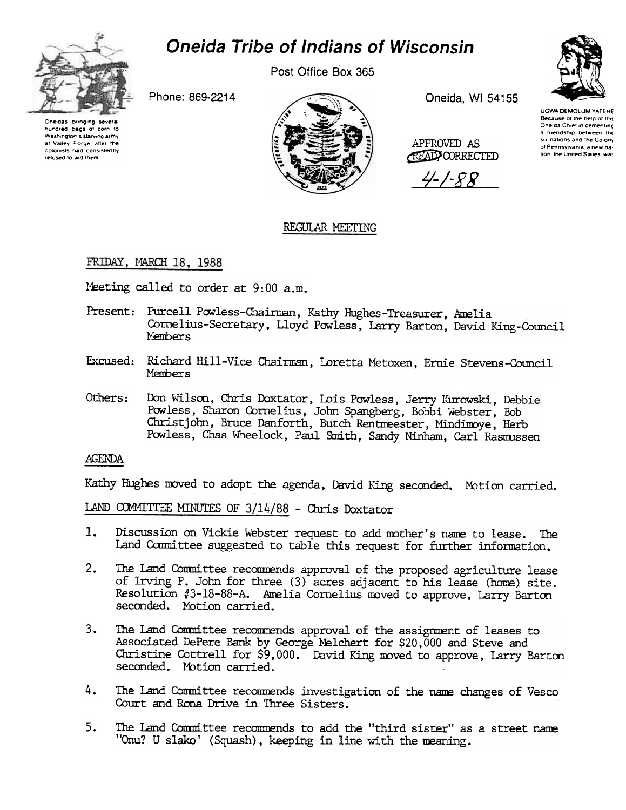

# Oneida Tribe of Indians of Wisconsin

Post Office Box 365

Phone: 869-2214





Oneida, WI 54155

APPROVED AS **ATAD CORRECTED** 

4-1-88



UGWA DEMOLUM YATEHE Because of the neto of this Oneida Chief in cementing a triendship between the six nations and the Colony of Pennsylvania, a new nalion the United States was

## REGULAR MEETING

## FRIDAY, MARCH 18, 1988

Meeting called to order at 9:00 a.m.

- Present: Purcell Powless-Chairman, Kathy Hughes-Treasurer, Amelia Cornelius-Secretary, Lloyd Powless, Larry Barton, David King-Council Nembers
- Excused: Richard Hill-Vice Chairman, Loretta Metoxen, Ernie Stevens-Council Members
- Others: Don Wilson, Chris Doxtator, Lois Powless, Jerry Kurowski, Debbie Powless, Sharon Cornelius, John Spangberg, Bobbi Webster, Bob Christjohn, Bruce Danforth, Butch Rentmeester, Mindimoye, Herb Powless, Chas Wheelock, Paul Smith, Sandy Ninham, Carl Rasmussen

## **AGENDA**

Kathy Hughes moved to adopt the agenda, David King seconded. Motion carried.

LAND COMMITTEE MINUTES OF 3/14/88 - Chris Doxtator

- Discussion on Vickie Webster request to add mother's name to lease. The 1. Land Committee suggested to table this request for further information.
- The Land Committee recommends approval of the proposed agriculture lease  $2.$ of Irving P. John for three (3) acres adjacent to his lease (home) site. Resolution #3-18-88-A. Amelia Cornelius moved to approve, Larry Barton seconded. Motion carried.
- $3.$ The Land Committee recommends approval of the assignment of leases to Associated DePere Bank by George Melchert for \$20,000 and Steve and Christine Cottrell for \$9,000. David King moved to approve, Larry Barton seconded. Motion carried.
- 4. The Land Committee recommends investigation of the name changes of Vesco Court and Rona Drive in Three Sisters.
- 5. The Land Committee recommends to add the "third sister" as a street name "Onu? U slako' (Squash), keeping in line with the meaning.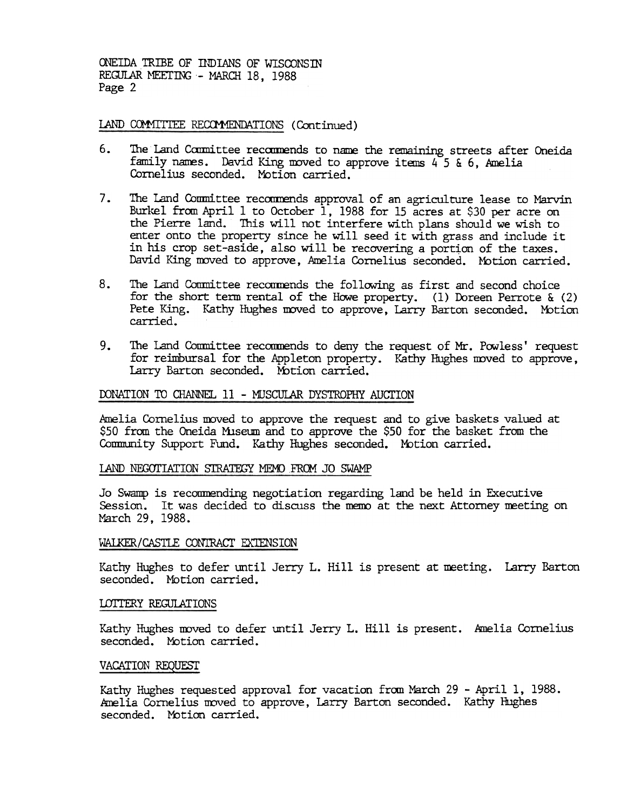#### LAND COMMITTEE RECOMMENDATIONS (Continued)

- 6. The Land Committee recommends to name the remaining streets after Oneida family names. David King moved to approve items  $4^{\circ}5$  & 6, Amelia Cornelius seconded. Motion carried.
- $7.$ The Land Committee recommends approval of an agriculture lease to Marvin Burkel from April 1 to October 1, 1988 for 15 acres at \$30 per acre on the Pierre land. This will not interfere with plans should we wish to enter onto the property since he will seed it with grass and include it in his crop set-aside, also will be recovering a portion of the taxes. David King moved to approve, Amelia Cornelius seconded. Motion carried.
- 8. The Land Conmittee recornensis the following as first and second choice free the following and the forest the conmittee.<br>The form in terms of the following the comparing the control of the form is control. The Land Conm for the short term rental of the Howe property. (1) Doreen Perrote  $\&$  (2) Pete King. Kathy Hughes moved to approve, Larry Barton seconded. Motion carried.
	- 9. The Land Committee recommends to deny the request of Mr. Powless' request for reimbursal for the Appleton property. Kathy Hughes moved to approve, Larry Barton seconded. Motion carried.

#### DONATION TO CHANNEL 11 - MUSCULAR DYSTROPHY AUCTION

Amelia Cornelius moved to approve the request and to give baskets valued at \$50 from the Oneida Mlseum and to approve the \$50 for the basket from the Community Support Fund. Kathy Hughes seconded. Motion carried.

#### LAND NEGOTIATION STRATEGY MEMO FROM JO SWAMP

Jo Swamp is reconmending negotiation regarding land be held in Executive Session. It was decided to discuss the memo at the next Attorney meeting on March 29, 1988.

#### WALKER/CASTLE CONTRACT EXTENSION

Kathy Hughes to defer until Jerry L. Hill is present at meeting. Larry Barto seconded. Motion carried.

#### LOTTERY REGULATIONS

Kathy Hughes moved to defer until Jerry L. Hill is present. knelia Cornelius seconded. Motion carried.

#### VACATION REQUEST

Kathy Hughes requested approval for vacation from March 29 - April 1, 1988. Amelia Cornelius moved to approve, Larry Barton seconded. Kathy Hughes seconded. Motion carried.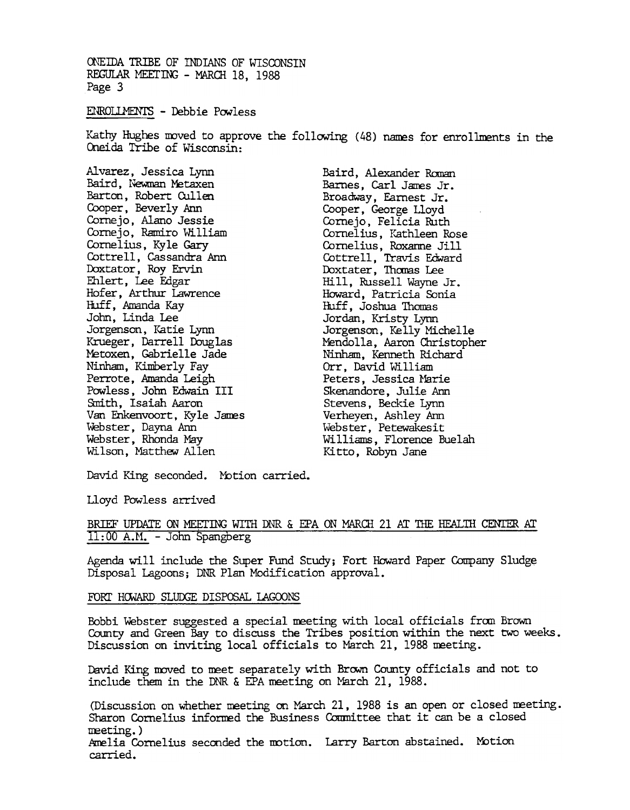#### ENROLLMENTS - Debbie Powless

Kathy Hughes moved to approve the following (48) names for enrollments in the Oneida Tribe of Wisconsin:

Alvarez, Jessica Lyrm Baird, Newman Metaxen Barton, Robert Cullen Cooper, Beverly Ann Cornejo, Alano Jessie Cornejo, Ramiro William Cornelius, Ky le Gary Cottrell, Cassandra Ann Doxtator, Roy Ervin Ehlert, Lee Edgar Hofer, Arthur Lawrence Huff, Amanda Kay John, Linda lee Jorgenson, Katie Lynn Krueger, Darrell Douglas ~toxen, Gabrielle Jade Ninham, Kimberly Fay Perrote, Amanda Leigh Powless, John Edwain III &nith, Isaiah Aaron Van Enkenvoort, Kyle James Webster, Dayna Ann Webster, Rhonda May Wilson, Matthew Allen

Baird, Alexander Ranan Barnes, Carl James Jr. Broadway, Earnest Jr. Cooper, George Lloyd Cornejo, Felicia Ruth Cornelius, Kathleen Rose Cornelius, Roxame Jill Cottrell, Travis Edwa Doxtater, Thomas Lee Hill, Russell Wayne Jr. Howard, Patricia Sonia Huff, Joshua Thomas. Jordan, Kristy Lynn Jorgenson, Kelly Michelle MendolIa, Aaron Christopher Ninham, Kenneth Richard Orr, David William Peters, Jessica Marie Skenandore, Julie Ann Stevens, Beckie Lynn Verheyen, Ashley Ann Webster, Petewakesit Williams, Florence Buelah Ki tto, Robyn Jane

David King seconded. Motion carried.

Uoyd Powless arrived.

BRIEF UPDATE ON MEETING WITH DNR & EPA ON MARCH 21 AT THE HEALTH CENTER AT 11: 00 A.M. -John Spangberg

Agenda will include the Super Fund Study; Fort Howard Paper Company Sludge Disposal Lagoons; DNR Plan Modification approval.

#### FORT HOWARD SLUDGE DISPOSAL LAGOONS

Bobbi Webster suggested a special meeting with local officials from Brown County and Green Bay to discuss the Tribes position within the next two weeks. Discussion on inviting local officials to Mardh 21, 1988 meeting.

David King moved to meet separately with Brown County officials and not to include them in the DNR & EPA meeting on March 21, 1988.

(Discussion on whether meeting on March 21, 1988 is an open or closed meeting. Sharon Cornelius informed the Business Committee that it can be a closed meeting.)<br>Amelia Cornelius seconded the motion. Larry Barton abstained. Motion

carried.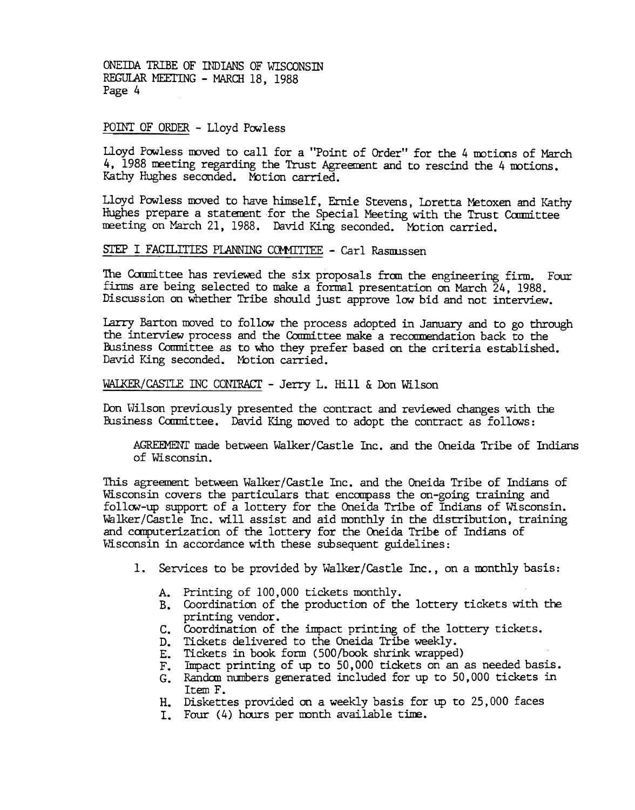#### POINT OF ORDER - Lloyd Powless

Lloyd Powless moved to call for a "Point of Order" for the 4 motions of March 4, 1988 meeting regarding the Trust Agreement and to rescind the 4 motions. Kathy Hughes seconded. Motion carried.

Lloyd Powless moved to have himself, Ernie Stevens, Loretta Metoxen and Kathy Hughes prepare a statement for the Special Meeting with the Trust Committee meeting on March 21, 1988. David King seconded. Mbtion carried.

## STEP I FACILITIES PLANNING COMMITTEE - Carl Rasmussen

The Committee has reviewed the six proposals from the engineering firm. Four firms are being selected to make a formal presentation on March 24, 1988. Discussion on whether Tribe should just approve low bid and not interview.

Larry Barton moved to follow the process adopted in January and to go through the interview process and the Committee make a recommendation back to the Business Committee as to who they prefer based on the criteria established. David King seconded. Motion carried.

WAIKER/CASTLE INC CONTRACT - Jerry L. Hill & Don Wilson

It Don Wilson previously presented the contract and reviewed changes with the Business Committee. David King moved to adopt the contract as follows:

AGREEMENT made between Walker/Castle Inc. and the Oneida Tribe of Indians of Wisconsin.

This agreement between Walker/Castle Inc. and the Oneida Tribe of Indians of Wisconsin covers the particulars that encompass the on-going training and follow-up support of a lottery for the Oneida Tribe of Indians of Wisconsin. Walker/Castle Inc. will assist and aid mnthly in the distribution, training and computerization of the lottery for the Oneida Tribe of Indians of Wisconsin in accordance with these subsequent guidelines:

- 1. Services to be provided by Walker/Castle Inc., on a monthly basis:
	-
	- A. Printing of 100,000 tickets monthly<br>B. Coordination of the production of t B. Coordination of the production of the lottery tickets with the printing vendor.
	- C. Coordination of the impact printing of the lottery ticket
	- Tidkets delivered to the Oneida Tribe weekly.
	- E. Tidkets in book form (500/book shrink wrapped)
	- F. Impact printing of up to 50,000 tickets on an as needed basis
	- G. Random numbers generated included for up to 50,000 tickets in Item F.
	- H. Diskettes provided on a weekly basis for up to 25,000 faces
	- I. Four (4) hours per month available time.